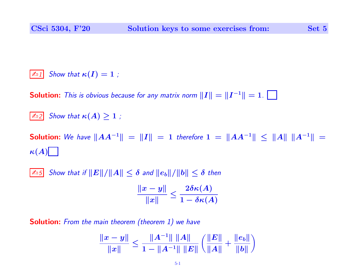$\boxed{\mathbb{Z}_1}$  Show that  $\kappa(I) = 1$ ;

**Solution:** This is obvious because for any matrix norm  $\|I\| = \|I^{-1}\| = 1$ .

 $\boxed{\mathbb{Z}_2}$  Show that  $\kappa(A) \geq 1$ ;

Solution: We have  $||AA^{-1}|| = ||I|| = 1$  therefore  $1 = ||AA^{-1}|| \le ||A|| ||A^{-1}|| =$  $\kappa(A)$ 

 $\|\mathcal{L}_5\|$  Show that if  $\|E\|/\|A\| \leq \delta$  and  $\|e_b\|/\|b\| \leq \delta$  then

$$
\frac{\|x-y\|}{\|x\|} \leq \frac{2\delta \kappa(A)}{1-\delta \kappa(A)}
$$

**Solution:** From the main theorem (theorem 1) we have

$$
\frac{\|x-y\|}{\|x\|} \le \frac{\|A^{-1}\| \|A\|}{1-\|A^{-1}\| \|E\|} \left( \frac{\|E\|}{\|A\|} + \frac{\|e_b\|}{\|b\|} \right)
$$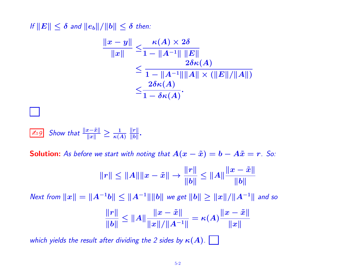If  $||E|| \leq \delta$  and  $||e_b||/||b|| \leq \delta$  then:

$$
\begin{aligned} \frac{\|x-y\|}{\|x\|} &\leq \frac{\kappa(A)\times 2\delta}{1-\|A^{-1}\|\,\|E\|} \\ &\leq \frac{2\delta\kappa(A)}{1-\|A^{-1}\|\|A\|\times(\|E\|/\|A\|)} \\ &\leq \frac{2\delta\kappa(A)}{1-\delta\kappa(A)}. \end{aligned}
$$

 $\frac{1}{\mathbb{Z}\cup 9}$  Show that  $\frac{\|x-\tilde{x}\|}{\|x\|} \geq \frac{1}{\kappa(A)}$  $\Vert r \Vert$  $\frac{\|r\|}{\|b\|}.$ 

**Solution:** As before we start with noting that  $A(x - \tilde{x}) = b - A\tilde{x} = r$ . So:

$$
||r|| \le ||A|| ||x - \tilde{x}|| \to \frac{||r||}{||b||} \le ||A|| \frac{||x - \tilde{x}||}{||b||}
$$

Next from  $||x|| = ||A^{-1}b|| ≤ ||A^{-1}|| ||b||$  we get  $||b|| ≥ ||x||/||A^{-1}||$  and so

$$
\frac{\|r\|}{\|b\|}\leq \|A\|\frac{\|x-\tilde x\|}{\|x\|/\|A^{-1}\|}=\kappa(A)\frac{\|x-\tilde x\|}{\|x\|}
$$

which yields the result after dividing the 2 sides by  $\kappa(A)$ .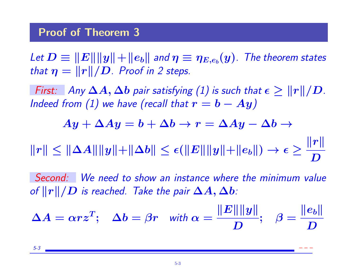Let  $D\equiv\|E\|\|y\|+\|e_b\|$  and  $\eta\equiv\eta_{E,e_b}(y)$  . The theorem states that  $\eta = ||r||/D$ . Proof in 2 steps.

First: Any  $\Delta A, \Delta b$  pair satisfying (1) is such that  $\epsilon \geq \|r\|/D$ . Indeed from (1) we have (recall that  $r = b - Ay$ )

$$
Ay+\Delta Ay=b+\Delta b\rightarrow r=\Delta Ay-\Delta b\rightarrow
$$

 $\|r\|\leq \|\Delta A\|\|y\|+\|\Delta b\|\leq \epsilon(\|E\|\|y\|+\|e_b\|)\rightarrow \epsilon\geq 0$  $\|\bm{r}\|$  $\boldsymbol{D}$ 

Second: We need to show an instance where the minimum value of  $||r||/D$  is reached. Take the pair  $\Delta A, \Delta b$ :

$$
\Delta A = \alpha r z^T; \quad \Delta b = \beta r \quad \text{with } \alpha = \frac{\|E\| \|y\|}{D}; \quad \beta = \frac{\|e_b\|}{D}
$$

5-3 – – –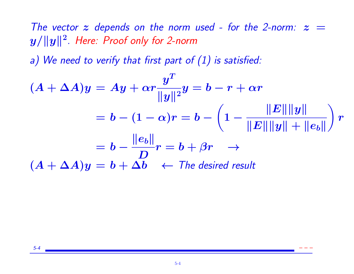The vector z depends on the norm used - for the 2-norm:  $z =$  $\|y/\|y\|^2$ . Here: Proof only for 2-norm

a) We need to verify that first part of  $(1)$  is satisfied:

$$
(A + \Delta A)y = Ay + \alpha r \frac{y^T}{\|y\|^2} y = b - r + \alpha r
$$
  
=  $b - (1 - \alpha)r = b - \left(1 - \frac{\|E\| \|y\|}{\|E\| \|y\| + \|e_b\|}\right) r$   
=  $b - \frac{\|e_b\|}{D} r = b + \beta r \rightarrow$   
 $(A + \Delta A)y = b + \Delta b \leftarrow$  The desired result